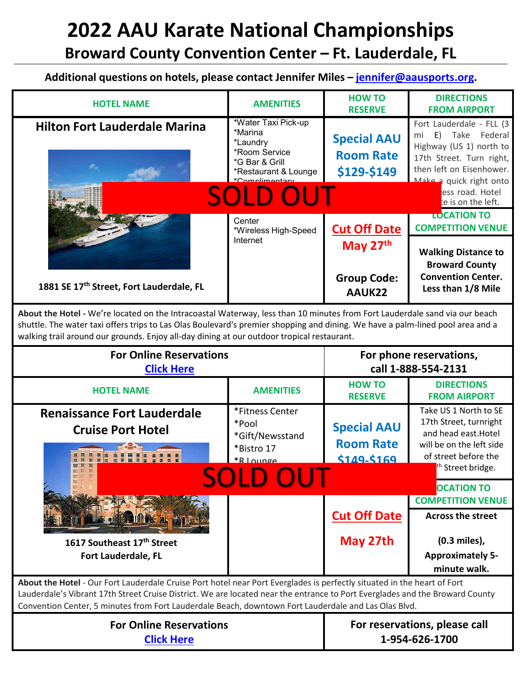## **2022 AAU Karate National Championships Broward County Convention Center – Ft. Lauderdale, FL**

**Additional questions on hotels, please contact Jennifer Miles – [jennifer@aausports.org.](mailto:jennifer@aausports.org)** 

| <b>HOTEL NAME</b>                        | <b>AMENITIES</b>                                                                                                                 | <b>HOW TO</b><br><b>RESERVE</b>                       | <b>DIRECTIONS</b><br><b>FROM AIRPORT</b>                                                                                                                                                                     |
|------------------------------------------|----------------------------------------------------------------------------------------------------------------------------------|-------------------------------------------------------|--------------------------------------------------------------------------------------------------------------------------------------------------------------------------------------------------------------|
| <b>Hilton Fort Lauderdale Marina</b>     | *Water Taxi Pick-up<br>*Marina<br>*Laundry<br>*Room Service<br>*G Bar & Grill<br>*Restaurant & Lounge<br>$*Complim$<br>801 D OUT | <b>Special AAU</b><br><b>Room Rate</b><br>\$129-\$149 | Fort Lauderdale - FLL (3)<br>Take Federal<br>E)<br>mi<br>Highway (US 1) north to<br>17th Street. Turn right,<br>then left on Eisenhower.<br>Make a quick right onto<br>ess road. Hotel<br>te is on the left. |
|                                          | Center<br>*Wireless High-Speed                                                                                                   | <b>Cut Off Date</b>                                   | <b>TOCATION TO</b><br><b>COMPETITION VENUE</b>                                                                                                                                                               |
|                                          | Internet                                                                                                                         | May 27th                                              | <b>Walking Distance to</b><br><b>Broward County</b>                                                                                                                                                          |
| 1881 SE 17th Street, Fort Lauderdale, FL |                                                                                                                                  | <b>Group Code:</b><br>AAUK22                          | <b>Convention Center.</b><br>Less than 1/8 Mile                                                                                                                                                              |

**About the Hotel -** We're located on the Intracoastal Waterway, less than 10 minutes from Fort Lauderdale sand via our beach shuttle. The water taxi offers trips to Las Olas Boulevard's premier shopping and dining. We have a palm-lined pool area and a walking trail around our grounds. Enjoy all-day dining at our outdoor tropical restaurant.

| <b>For Online Reservations</b><br><b>Click Here</b>                                                                                                                                                                                                                                                                                                             |                                                                            | For phone reservations,<br>call 1-888-554-2131        |                                                                                                                                                  |
|-----------------------------------------------------------------------------------------------------------------------------------------------------------------------------------------------------------------------------------------------------------------------------------------------------------------------------------------------------------------|----------------------------------------------------------------------------|-------------------------------------------------------|--------------------------------------------------------------------------------------------------------------------------------------------------|
| <b>HOTEL NAME</b>                                                                                                                                                                                                                                                                                                                                               | <b>AMENITIES</b>                                                           | <b>HOW TO</b><br><b>RESERVE</b>                       | <b>DIRECTIONS</b><br><b>FROM AIRPORT</b>                                                                                                         |
| <b>Renaissance Fort Lauderdale</b><br><b>Cruise Port Hotel</b>                                                                                                                                                                                                                                                                                                  | *Fitness Center<br>*Pool<br>*Gift/Newsstand<br>*Bistro 17<br>$*R$   $O(1)$ | <b>Special AAU</b><br><b>Room Rate</b><br>\$149-\$169 | Take US 1 North to SE<br>17th Street, turnright<br>and head east. Hotel<br>will be on the left side<br>of street before the<br>th Street bridge. |
| SOLE                                                                                                                                                                                                                                                                                                                                                            |                                                                            |                                                       | <b>OCATION TO</b><br><b>COMPETITION VENUE</b>                                                                                                    |
|                                                                                                                                                                                                                                                                                                                                                                 |                                                                            | <b>Cut Off Date</b>                                   | <b>Across the street</b>                                                                                                                         |
| 1617 Southeast 17th Street<br><b>Fort Lauderdale, FL</b>                                                                                                                                                                                                                                                                                                        |                                                                            | May 27th                                              | (0.3 miles),<br><b>Approximately 5-</b><br>minute walk.                                                                                          |
| About the Hotel - Our Fort Lauderdale Cruise Port hotel near Port Everglades is perfectly situated in the heart of Fort<br>Lauderdale's Vibrant 17th Street Cruise District. We are located near the entrance to Port Everglades and the Broward County<br>Convention Center, 5 minutes from Fort Lauderdale Beach, downtown Fort Lauderdale and Las Olas Blvd. |                                                                            |                                                       |                                                                                                                                                  |
| <b>For Online Reservations</b><br><b>Click Here</b>                                                                                                                                                                                                                                                                                                             |                                                                            | For reservations, please call<br>1-954-626-1700       |                                                                                                                                                  |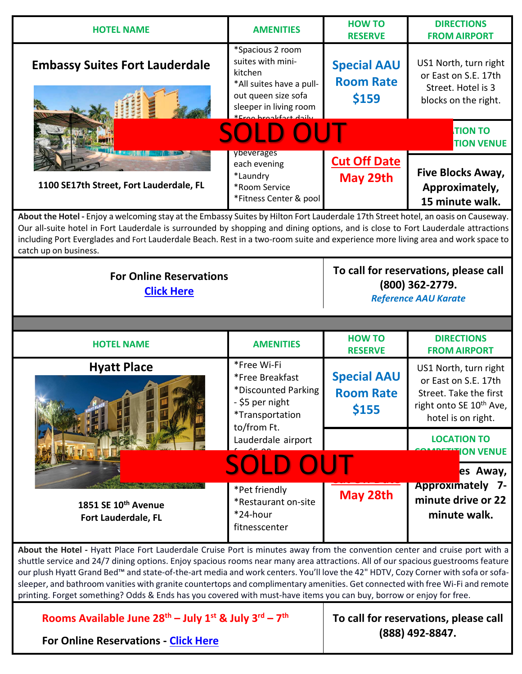| <b>HOTEL NAME</b>                                                                                                                                                                                                                                                                                                                                                                                                                                                                                                                                                                                                                                           | <b>AMENITIES</b>                                                                                                              | <b>HOW TO</b><br><b>RESERVE</b>                                                         | <b>DIRECTIONS</b><br><b>FROM AIRPORT</b>                                                                                             |  |
|-------------------------------------------------------------------------------------------------------------------------------------------------------------------------------------------------------------------------------------------------------------------------------------------------------------------------------------------------------------------------------------------------------------------------------------------------------------------------------------------------------------------------------------------------------------------------------------------------------------------------------------------------------------|-------------------------------------------------------------------------------------------------------------------------------|-----------------------------------------------------------------------------------------|--------------------------------------------------------------------------------------------------------------------------------------|--|
| <b>Embassy Suites Fort Lauderdale</b>                                                                                                                                                                                                                                                                                                                                                                                                                                                                                                                                                                                                                       | *Spacious 2 room<br>suites with mini-<br>kitchen<br>*All suites have a pull-<br>out queen size sofa<br>sleeper in living room | <b>Special AAU</b><br><b>Room Rate</b><br>\$159                                         | US1 North, turn right<br>or East on S.E. 17th<br>Street. Hotel is 3<br>blocks on the right.                                          |  |
|                                                                                                                                                                                                                                                                                                                                                                                                                                                                                                                                                                                                                                                             | <b>SOLD OUT</b>                                                                                                               |                                                                                         | <b>TION TO</b><br><b>TION VENUE</b>                                                                                                  |  |
| 1100 SE17th Street, Fort Lauderdale, FL                                                                                                                                                                                                                                                                                                                                                                                                                                                                                                                                                                                                                     | ybeverages<br>each evening<br>*Laundry<br>*Room Service<br>*Fitness Center & pool                                             | <b>Cut Off Date</b><br>May 29th                                                         | Five Blocks Away,<br>Approximately,<br>15 minute walk.                                                                               |  |
| About the Hotel - Enjoy a welcoming stay at the Embassy Suites by Hilton Fort Lauderdale 17th Street hotel, an oasis on Causeway.<br>Our all-suite hotel in Fort Lauderdale is surrounded by shopping and dining options, and is close to Fort Lauderdale attractions<br>including Port Everglades and Fort Lauderdale Beach. Rest in a two-room suite and experience more living area and work space to<br>catch up on business.                                                                                                                                                                                                                           |                                                                                                                               |                                                                                         |                                                                                                                                      |  |
| <b>For Online Reservations</b><br><b>Click Here</b>                                                                                                                                                                                                                                                                                                                                                                                                                                                                                                                                                                                                         |                                                                                                                               | To call for reservations, please call<br>(800) 362-2779.<br><b>Reference AAU Karate</b> |                                                                                                                                      |  |
|                                                                                                                                                                                                                                                                                                                                                                                                                                                                                                                                                                                                                                                             |                                                                                                                               |                                                                                         |                                                                                                                                      |  |
|                                                                                                                                                                                                                                                                                                                                                                                                                                                                                                                                                                                                                                                             |                                                                                                                               |                                                                                         |                                                                                                                                      |  |
| <b>HOTEL NAME</b>                                                                                                                                                                                                                                                                                                                                                                                                                                                                                                                                                                                                                                           | <b>AMENITIES</b>                                                                                                              | <b>HOW TO</b><br><b>RESERVE</b>                                                         | <b>DIRECTIONS</b><br><b>FROM AIRPORT</b>                                                                                             |  |
| <b>Hyatt Place</b>                                                                                                                                                                                                                                                                                                                                                                                                                                                                                                                                                                                                                                          | *Free Wi-Fi<br>*Free Breakfast<br>*Discounted Parking<br>- \$5 per night<br>*Transportation                                   | <b>Special AAU</b><br><b>Room Rate</b><br>\$155                                         | US1 North, turn right<br>or East on S.E. 17th<br>Street. Take the first<br>right onto SE 10 <sup>th</sup> Ave,<br>hotel is on right. |  |
|                                                                                                                                                                                                                                                                                                                                                                                                                                                                                                                                                                                                                                                             | to/from Ft.<br>Lauderdale airport                                                                                             |                                                                                         | <b>LOCATION TO</b><br><b>ON VENUE</b>                                                                                                |  |
| 1851 SE 10 <sup>th</sup> Avenue<br>Fort Lauderdale, FL                                                                                                                                                                                                                                                                                                                                                                                                                                                                                                                                                                                                      | <b>SOLD OUT</b><br>*Pet friendly<br>*Restaurant on-site<br>*24-hour<br>fitnesscenter                                          | May 28th                                                                                | es Away,<br><b>Approximately 7-</b><br>minute drive or 22<br>minute walk.                                                            |  |
| About the Hotel - Hyatt Place Fort Lauderdale Cruise Port is minutes away from the convention center and cruise port with a<br>shuttle service and 24/7 dining options. Enjoy spacious rooms near many area attractions. All of our spacious guestrooms feature<br>our plush Hyatt Grand Bed™ and state-of-the-art media and work centers. You'll love the 42" HDTV, Cozy Corner with sofa or sofa-<br>sleeper, and bathroom vanities with granite countertops and complimentary amenities. Get connected with free Wi-Fi and remote<br>printing. Forget something? Odds & Ends has you covered with must-have items you can buy, borrow or enjoy for free. |                                                                                                                               |                                                                                         |                                                                                                                                      |  |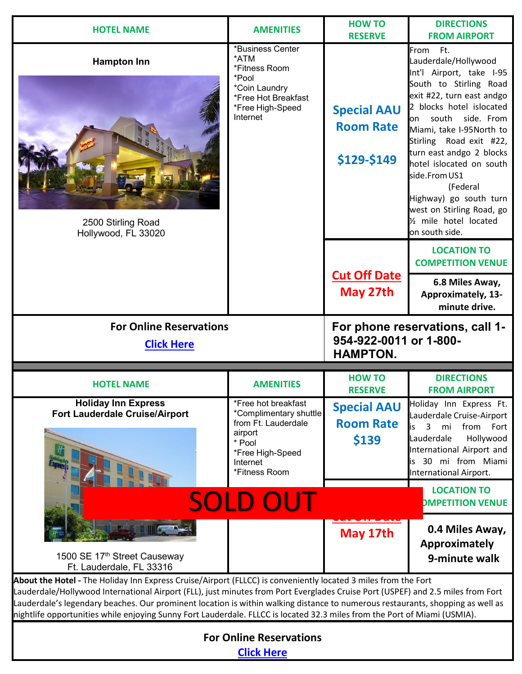| <b>HOTEL NAME</b>                                                                                                                                                                                                                                                                                                                                                                                                                                                                                                | <b>AMENITIES</b>                                                                                                                           | <b>HOW TO</b>                                         | <b>DIRECTIONS</b>                                                                                                                                                                                                                                                                                                                                                                                                                 |
|------------------------------------------------------------------------------------------------------------------------------------------------------------------------------------------------------------------------------------------------------------------------------------------------------------------------------------------------------------------------------------------------------------------------------------------------------------------------------------------------------------------|--------------------------------------------------------------------------------------------------------------------------------------------|-------------------------------------------------------|-----------------------------------------------------------------------------------------------------------------------------------------------------------------------------------------------------------------------------------------------------------------------------------------------------------------------------------------------------------------------------------------------------------------------------------|
|                                                                                                                                                                                                                                                                                                                                                                                                                                                                                                                  |                                                                                                                                            | <b>RESERVE</b>                                        | <b>FROM AIRPORT</b>                                                                                                                                                                                                                                                                                                                                                                                                               |
| <b>Hampton Inn</b><br>2500 Stirling Road<br>Hollywood, FL 33020                                                                                                                                                                                                                                                                                                                                                                                                                                                  | *Business Center<br>*ATM<br>*Fitness Room<br>*Pool<br>*Coin Laundry<br>*Free Hot Breakfast<br>*Free High-Speed<br>Internet                 | <b>Special AAU</b><br><b>Room Rate</b><br>\$129-\$149 | From Ft.<br>Lauderdale/Hollywood<br>Int'l Airport, take I-95<br>South to Stirling Road<br>exit #22, turn east andgo<br>2 blocks hotel islocated<br>on south side. From<br>Miami, take I-95North to<br>Stirling Road exit #22,<br>turn east andgo 2 blocks<br>hotel islocated on south<br>side.From US1<br>(Federal<br>Highway) go south turn<br>west on Stirling Road, go<br>1/ <sub>2</sub> mile hotel located<br>on south side. |
|                                                                                                                                                                                                                                                                                                                                                                                                                                                                                                                  |                                                                                                                                            |                                                       | <b>LOCATION TO</b><br><b>COMPETITION VENUE</b>                                                                                                                                                                                                                                                                                                                                                                                    |
|                                                                                                                                                                                                                                                                                                                                                                                                                                                                                                                  |                                                                                                                                            | <b>Cut Off Date</b><br>May 27th                       | 6.8 Miles Away,<br>Approximately, 13-<br>minute drive.                                                                                                                                                                                                                                                                                                                                                                            |
| <b>For Online Reservations</b>                                                                                                                                                                                                                                                                                                                                                                                                                                                                                   |                                                                                                                                            |                                                       | For phone reservations, call 1-                                                                                                                                                                                                                                                                                                                                                                                                   |
| <b>Click Here</b>                                                                                                                                                                                                                                                                                                                                                                                                                                                                                                |                                                                                                                                            | 954-922-0011 or 1-800-<br><b>HAMPTON.</b>             |                                                                                                                                                                                                                                                                                                                                                                                                                                   |
|                                                                                                                                                                                                                                                                                                                                                                                                                                                                                                                  |                                                                                                                                            |                                                       |                                                                                                                                                                                                                                                                                                                                                                                                                                   |
| <b>HOTEL NAME</b>                                                                                                                                                                                                                                                                                                                                                                                                                                                                                                | <b>AMENITIES</b>                                                                                                                           | <b>HOW TO</b><br><b>RESERVE</b>                       | <b>DIRECTIONS</b><br><b>FROM AIRPORT</b>                                                                                                                                                                                                                                                                                                                                                                                          |
| <b>Holiday Inn Express</b><br><b>Fort Lauderdale Cruise/Airport</b>                                                                                                                                                                                                                                                                                                                                                                                                                                              | *Free hot breakfast<br>*Complimentary shuttle<br>from Ft. Lauderdale<br>airport<br>* Pool<br>*Free High-Speed<br>Internet<br>*Fitness Room | <b>Special AAU</b><br><b>Room Rate</b><br>\$139       | Holiday Inn Express Ft.<br>Lauderdale Cruise-Airport<br>$\mathbf{3}$<br>mi<br>from Fort<br>is<br>Lauderdale<br>Hollywood<br>International Airport and<br>is 30 mi from Miami<br>International Airport.                                                                                                                                                                                                                            |
|                                                                                                                                                                                                                                                                                                                                                                                                                                                                                                                  | SOLD OUT                                                                                                                                   |                                                       | <b>LOCATION TO</b><br><b>DMPETITION VENUE</b>                                                                                                                                                                                                                                                                                                                                                                                     |
| 1500 SE 17th Street Causeway<br>Ft. Lauderdale, FL 33316                                                                                                                                                                                                                                                                                                                                                                                                                                                         |                                                                                                                                            | May 17th                                              | 0.4 Miles Away,<br>Approximately<br>9-minute walk                                                                                                                                                                                                                                                                                                                                                                                 |
| About the Hotel - The Holiday Inn Express Cruise/Airport (FLLCC) is conveniently located 3 miles from the Fort<br>Lauderdale/Hollywood International Airport (FLL), just minutes from Port Everglades Cruise Port (USPEF) and 2.5 miles from Fort<br>Lauderdale's legendary beaches. Our prominent location is within walking distance to numerous restaurants, shopping as well as<br>nightlife opportunities while enjoying Sunny Fort Lauderdale. FLLCC is located 32.3 miles from the Port of Miami (USMIA). |                                                                                                                                            |                                                       |                                                                                                                                                                                                                                                                                                                                                                                                                                   |